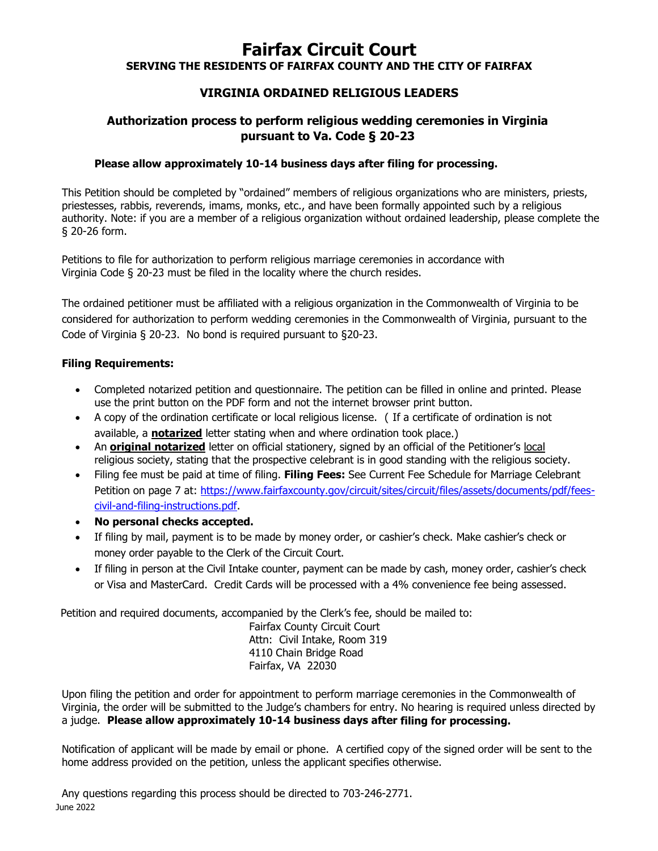# **Fairfax Circuit Court**

**SERVING THE RESIDENTS OF FAIRFAX COUNTY AND THE CITY OF FAIRFAX**

#### **VIRGINIA ORDAINED RELIGIOUS LEADERS**

### **Authorization process to perform religious wedding ceremonies in Virginia pursuant to Va. Code § 20-23**

#### **Please allow approximately 10-14 business days after filing for processing.**

This Petition should be completed by "ordained" members of religious organizations who are ministers, priests, priestesses, rabbis, reverends, imams, monks, etc., and have been formally appointed such by a religious authority. Note: if you are a member of a religious organization without ordained leadership, please complete the § 20-26 form.

Petitions to file for authorization to perform religious marriage ceremonies in accordance with Virginia Code § 20-23 must be filed in the locality where the church resides.

The ordained petitioner must be affiliated with a religious organization in the Commonwealth of Virginia to be considered for authorization to perform wedding ceremonies in the Commonwealth of Virginia, pursuant to the Code of Virginia § 20-23. No bond is required pursuant to §20-23.

#### **Filing Requirements:**

- Completed notarized petition and questionnaire. The petition can be filled in online and printed. Please use the print button on the PDF form and not the internet browser print button.
- A copy of the ordination certificate or local religious license. ( If a certificate of ordination is not available, a **notarized** letter stating when and where ordination took place.)
- An **original notarized** letter on official stationery, signed by an official of the Petitioner's local religious society, stating that the prospective celebrant is in good standing with the religious society.
- Filing fee must be paid at time of filing. **Filing Fees:** See Current Fee Schedule for Marriage Celebrant Petition on page 7 at: https://www.fairfaxcounty.gov/circuit/sites/circuit/files/assets/documents/pdf/feescivil-and-filing-instructions.pdf.
- **No personal checks accepted.**
- If filing by mail, payment is to be made by money order, or cashier's check. Make cashier's check or money order payable to the Clerk of the Circuit Court.
- If filing in person at the Civil Intake counter, payment can be made by cash, money order, cashier's check or Visa and MasterCard. Credit Cards will be processed with a 4% convenience fee being assessed.

Petition and required documents, accompanied by the Clerk's fee, should be mailed to:

Fairfax County Circuit Court Attn: Civil Intake, Room 319 4110 Chain Bridge Road Fairfax, VA 22030

Upon filing the petition and order for appointment to perform marriage ceremonies in the Commonwealth of Virginia, the order will be submitted to the Judge's chambers for entry. No hearing is required unless directed by a judge. **Please allow approximately 10-14 business days after filing for processing.**

Notification of applicant will be made by email or phone. A certified copy of the signed order will be sent to the home address provided on the petition, unless the applicant specifies otherwise.

June 2022 Any questions regarding this process should be directed to 703-246-2771.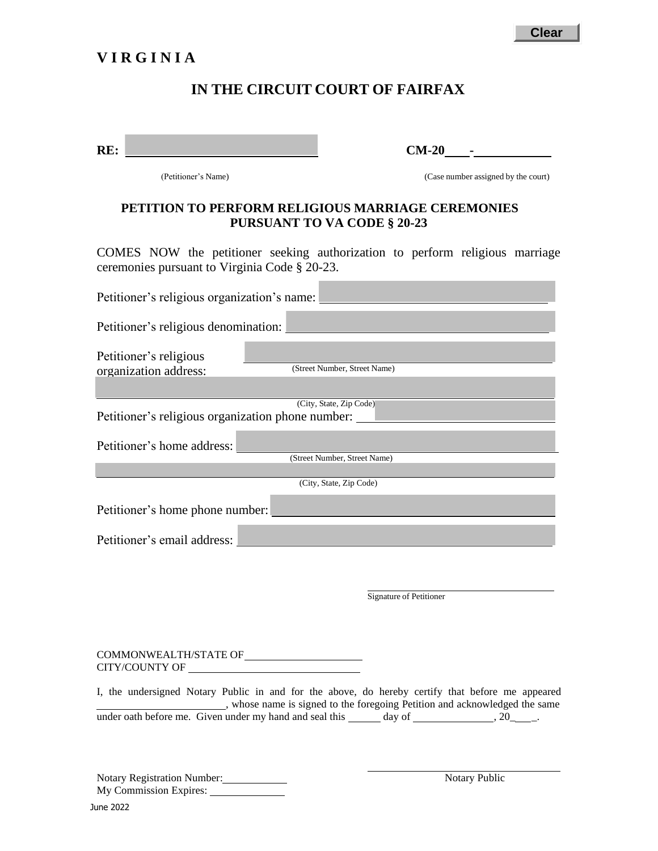# **V I R G I N I A**

### **IN THE CIRCUIT COURT OF FAIRFAX**

| RE: |  |
|-----|--|
|     |  |

**RE:** CM-20 **-**

(Petitioner's Name) (Case number assigned by the court)

#### **PETITION TO PERFORM RELIGIOUS MARRIAGE CEREMONIES PURSUANT TO VA CODE § 20-23**

COMES NOW the petitioner seeking authorization to perform religious marriage ceremonies pursuant to Virginia Code § 20-23.

| Petitioner's religious organization's name:                                                                                                                                          |
|--------------------------------------------------------------------------------------------------------------------------------------------------------------------------------------|
| Petitioner's religious denomination:                                                                                                                                                 |
| Petitioner's religious<br>(Street Number, Street Name)<br>organization address:                                                                                                      |
| (City, State, Zip Code)                                                                                                                                                              |
| Petitioner's religious organization phone number:                                                                                                                                    |
| Petitioner's home address:                                                                                                                                                           |
| (Street Number, Street Name)                                                                                                                                                         |
| (City, State, Zip Code)                                                                                                                                                              |
| Petitioner's home phone number:                                                                                                                                                      |
| Petitioner's email address:                                                                                                                                                          |
| Signature of Petitioner                                                                                                                                                              |
| CITY/COUNTY OF                                                                                                                                                                       |
| I, the undersigned Notary Public in and for the above, do hereby certify that before me appeared<br>______, whose name is signed to the foregoing Petition and acknowledged the same |
|                                                                                                                                                                                      |

Notary Registration Number: My Commission Expires:

Notary Public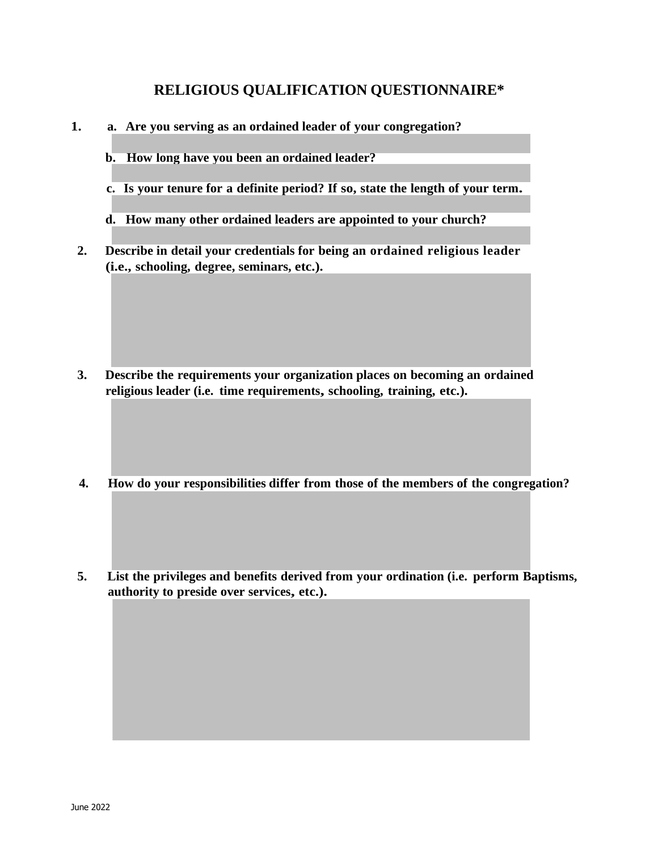## **RELIGIOUS QUALIFICATION QUESTIONNAIRE\***

- **1. a. Are you serving as an ordained leader of your congregation?**
	- **b. How long have you been an ordained leader?**
	- **c. Is your tenure for a definite period? If so, state the length of your term.**
	- **d. How many other ordained leaders are appointed to your church?**
- **2. Describe in detail your credentials for being an ordained religious leader (i.e., schooling, degree, seminars, etc.).**

- **3. Describe the requirements your organization places on becoming an ordained religious leader (i.e. time requirements, schooling, training, etc.).**
- **4. How do your responsibilities differ from those of the members of the congregation?**
- **5. List the privileges and benefits derived from your ordination (i.e. perform Baptisms, authority to preside over services, etc.).**